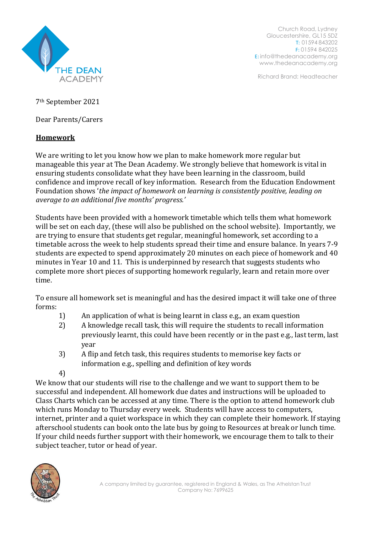

Church Road, Lydney Gloucestershire, GL15 5DZ T: 01594 843202 F: 01594 842025 E: [info@thedeanacademy.org](mailto:info@thedeanacademy.org) [www.thedeanacademy.org](http://www.thedeanacademy.org/)

Richard Brand: Headteacher

7th September 2021

Dear Parents/Carers

## **Homework**

We are writing to let you know how we plan to make homework more regular but manageable this year at The Dean Academy. We strongly believe that homework is vital in ensuring students consolidate what they have been learning in the classroom, build confidence and improve recall of key information. Research from the Education Endowment Foundation shows '*the impact of homework on learning is consistently positive, leading on average to an additional five months' progress.'*

Students have been provided with a homework timetable which tells them what homework will be set on each day, (these will also be published on the school website). Importantly, we are trying to ensure that students get regular, meaningful homework, set according to a timetable across the week to help students spread their time and ensure balance. In years 7-9 students are expected to spend approximately 20 minutes on each piece of homework and 40 minutes in Year 10 and 11. This is underpinned by research that suggests students who complete more short pieces of supporting homework regularly, learn and retain more over time.

To ensure all homework set is meaningful and has the desired impact it will take one of three forms:

- 1) An application of what is being learnt in class e.g., an exam question
- 2) A knowledge recall task, this will require the students to recall information previously learnt, this could have been recently or in the past e.g., last term, last year
- 3) A flip and fetch task, this requires students to memorise key facts or information e.g., spelling and definition of key words
- 4)

We know that our students will rise to the challenge and we want to support them to be successful and independent. All homework due dates and instructions will be uploaded to Class Charts which can be accessed at any time. There is the option to attend homework club which runs Monday to Thursday every week. Students will have access to computers, internet, printer and a quiet workspace in which they can complete their homework. If staying afterschool students can book onto the late bus by going to Resources at break or lunch time. If your child needs further support with their homework, we encourage them to talk to their subject teacher, tutor or head of year.